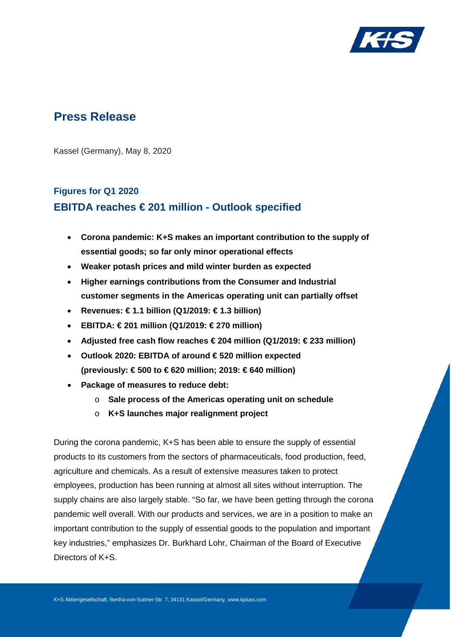

# **Press Release**

Kassel (Germany), May 8, 2020

# **Figures for Q1 2020 EBITDA reaches € 201 million - Outlook specified**

- **Corona pandemic: K+S makes an important contribution to the supply of essential goods; so far only minor operational effects**
- **Weaker potash prices and mild winter burden as expected**
- **Higher earnings contributions from the Consumer and Industrial customer segments in the Americas operating unit can partially offset**
- **Revenues: € 1.1 billion (Q1/2019: € 1.3 billion)**
- **EBITDA: € 201 million (Q1/2019: € 270 million)**
- **Adjusted free cash flow reaches € 204 million (Q1/2019: € 233 million)**
- **Outlook 2020: EBITDA of around € 520 million expected (previously: € 500 to € 620 million; 2019: € 640 million)**
- **Package of measures to reduce debt:**
	- o **Sale process of the Americas operating unit on schedule**
	- o **K+S launches major realignment project**

During the corona pandemic, K+S has been able to ensure the supply of essential products to its customers from the sectors of pharmaceuticals, food production, feed, agriculture and chemicals. As a result of extensive measures taken to protect employees, production has been running at almost all sites without interruption. The supply chains are also largely stable. "So far, we have been getting through the corona pandemic well overall. With our products and services, we are in a position to make an important contribution to the supply of essential goods to the population and important key industries," emphasizes Dr. Burkhard Lohr, Chairman of the Board of Executive Directors of K+S.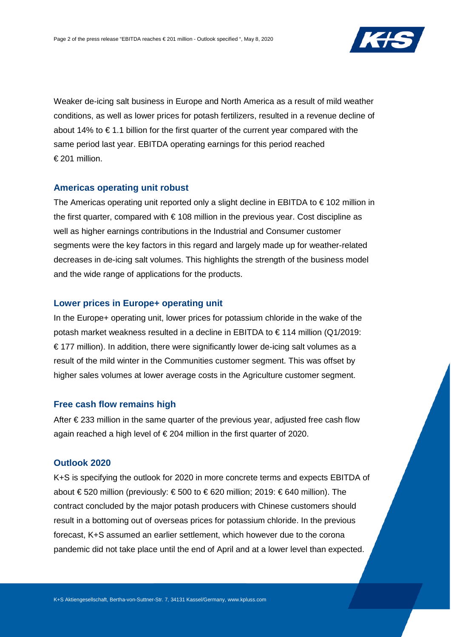

Weaker de-icing salt business in Europe and North America as a result of mild weather conditions, as well as lower prices for potash fertilizers, resulted in a revenue decline of about 14% to  $\epsilon$  1.1 billion for the first quarter of the current year compared with the same period last year. EBITDA operating earnings for this period reached € 201 million.

### **Americas operating unit robust**

The Americas operating unit reported only a slight decline in EBITDA to  $\epsilon$  102 million in the first quarter, compared with  $\epsilon$  108 million in the previous year. Cost discipline as well as higher earnings contributions in the Industrial and Consumer customer segments were the key factors in this regard and largely made up for weather-related decreases in de-icing salt volumes. This highlights the strength of the business model and the wide range of applications for the products.

### **Lower prices in Europe+ operating unit**

In the Europe+ operating unit, lower prices for potassium chloride in the wake of the potash market weakness resulted in a decline in EBITDA to € 114 million (Q1/2019:  $\epsilon$  177 million). In addition, there were significantly lower de-icing salt volumes as a result of the mild winter in the Communities customer segment. This was offset by higher sales volumes at lower average costs in the Agriculture customer segment.

## **Free cash flow remains high**

After  $\epsilon$  233 million in the same quarter of the previous year, adjusted free cash flow again reached a high level of € 204 million in the first quarter of 2020.

## **Outlook 2020**

K+S is specifying the outlook for 2020 in more concrete terms and expects EBITDA of about € 520 million (previously: € 500 to € 620 million; 2019: € 640 million). The contract concluded by the major potash producers with Chinese customers should result in a bottoming out of overseas prices for potassium chloride. In the previous forecast, K+S assumed an earlier settlement, which however due to the corona pandemic did not take place until the end of April and at a lower level than expected.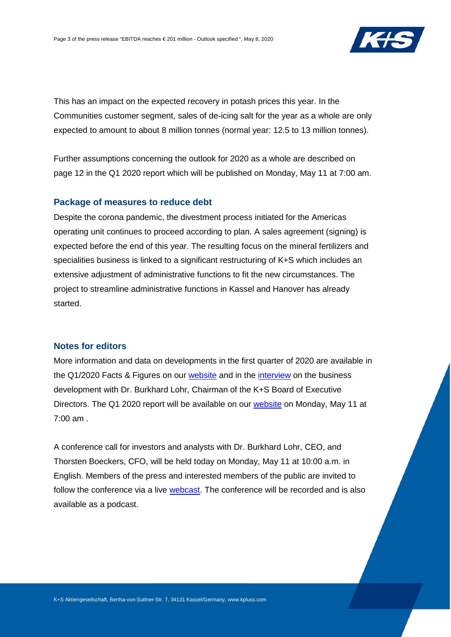

This has an impact on the expected recovery in potash prices this year. In the Communities customer segment, sales of de-icing salt for the year as a whole are only expected to amount to about 8 million tonnes (normal year: 12.5 to 13 million tonnes).

Further assumptions concerning the outlook for 2020 as a whole are described on page 12 in the Q1 2020 report which will be published on Monday, May 11 at 7:00 am.

#### **Package of measures to reduce debt**

Despite the corona pandemic, the divestment process initiated for the Americas operating unit continues to proceed according to plan. A sales agreement (signing) is expected before the end of this year. The resulting focus on the mineral fertilizers and specialities business is linked to a significant restructuring of K+S which includes an extensive adjustment of administrative functions to fit the new circumstances. The project to streamline administrative functions in Kassel and Hanover has already started.

# **Notes for editors**

More information and data on developments in the first quarter of 2020 are available in the Q1/2020 Facts & Figures on our [website](http://www.kpluss.com/financial-publications) and in the *interview* on the business development with Dr. Burkhard Lohr, Chairman of the K+S Board of Executive Directors. The Q1 2020 report will be available on our [website](http://www.kpluss.com/financial-publications) on Monday, May 11 at 7:00 am .

A conference call for investors and analysts with Dr. Burkhard Lohr, CEO, and Thorsten Boeckers, CFO, will be held today on Monday, May 11 at 10:00 a.m. in English. Members of the press and interested members of the public are invited to follow the conference via a live [webcast.](http://www.kpluss.com/cc) The conference will be recorded and is also available as a podcast.